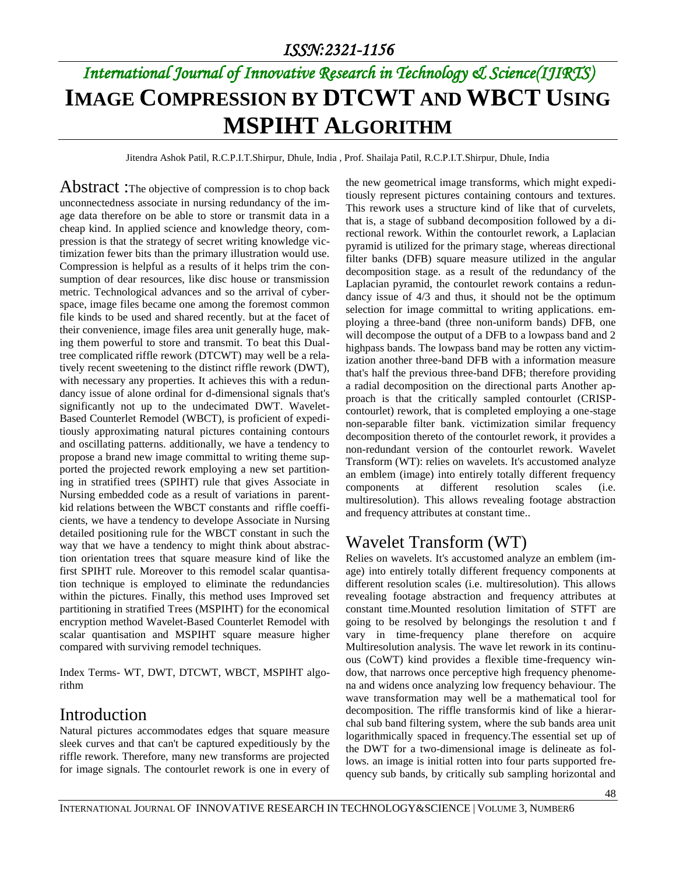# *International Journal of Innovative Research in Technology & Science(IJIRTS)* **IMAGE COMPRESSION BY DTCWT AND WBCT USING MSPIHT ALGORITHM**

Jitendra Ashok Patil, R.C.P.I.T.Shirpur, Dhule, India , Prof. Shailaja Patil, R.C.P.I.T.Shirpur, Dhule, India

Abstract : The objective of compression is to chop back unconnectedness associate in nursing redundancy of the image data therefore on be able to store or transmit data in a cheap kind. In applied science and knowledge theory, compression is that the strategy of secret writing knowledge victimization fewer bits than the primary illustration would use. Compression is helpful as a results of it helps trim the consumption of dear resources, like disc house or transmission metric. Technological advances and so the arrival of cyberspace, image files became one among the foremost common file kinds to be used and shared recently. but at the facet of their convenience, image files area unit generally huge, making them powerful to store and transmit. To beat this Dualtree complicated riffle rework (DTCWT) may well be a relatively recent sweetening to the distinct riffle rework (DWT), with necessary any properties. It achieves this with a redundancy issue of alone ordinal for d-dimensional signals that's significantly not up to the undecimated DWT. Wavelet-Based Counterlet Remodel (WBCT), is proficient of expeditiously approximating natural pictures containing contours and oscillating patterns. additionally, we have a tendency to propose a brand new image committal to writing theme supported the projected rework employing a new set partitioning in stratified trees (SPIHT) rule that gives Associate in Nursing embedded code as a result of variations in parentkid relations between the WBCT constants and riffle coefficients, we have a tendency to develope Associate in Nursing detailed positioning rule for the WBCT constant in such the way that we have a tendency to might think about abstraction orientation trees that square measure kind of like the first SPIHT rule. Moreover to this remodel scalar quantisation technique is employed to eliminate the redundancies within the pictures. Finally, this method uses Improved set partitioning in stratified Trees (MSPIHT) for the economical encryption method Wavelet-Based Counterlet Remodel with scalar quantisation and MSPIHT square measure higher compared with surviving remodel techniques.

Index Terms- WT, DWT, DTCWT, WBCT, MSPIHT algorithm

### Introduction

Natural pictures accommodates edges that square measure sleek curves and that can't be captured expeditiously by the riffle rework. Therefore, many new transforms are projected for image signals. The contourlet rework is one in every of the new geometrical image transforms, which might expeditiously represent pictures containing contours and textures. This rework uses a structure kind of like that of curvelets, that is, a stage of subband decomposition followed by a directional rework. Within the contourlet rework, a Laplacian pyramid is utilized for the primary stage, whereas directional filter banks (DFB) square measure utilized in the angular decomposition stage. as a result of the redundancy of the Laplacian pyramid, the contourlet rework contains a redundancy issue of 4/3 and thus, it should not be the optimum selection for image committal to writing applications. employing a three-band (three non-uniform bands) DFB, one will decompose the output of a DFB to a lowpass band and 2 highpass bands. The lowpass band may be rotten any victimization another three-band DFB with a information measure that's half the previous three-band DFB; therefore providing a radial decomposition on the directional parts Another approach is that the critically sampled contourlet (CRISPcontourlet) rework, that is completed employing a one-stage non-separable filter bank. victimization similar frequency decomposition thereto of the contourlet rework, it provides a non-redundant version of the contourlet rework. Wavelet Transform (WT): relies on wavelets. It's accustomed analyze an emblem (image) into entirely totally different frequency components at different resolution scales (i.e. multiresolution). This allows revealing footage abstraction and frequency attributes at constant time..

## Wavelet Transform (WT)

Relies on wavelets. It's accustomed analyze an emblem (image) into entirely totally different frequency components at different resolution scales (i.e. multiresolution). This allows revealing footage abstraction and frequency attributes at constant time.Mounted resolution limitation of STFT are going to be resolved by belongings the resolution t and f vary in time-frequency plane therefore on acquire Multiresolution analysis. The wave let rework in its continuous (CoWT) kind provides a flexible time-frequency window, that narrows once perceptive high frequency phenomena and widens once analyzing low frequency behaviour. The wave transformation may well be a mathematical tool for decomposition. The riffle transformis kind of like a hierarchal sub band filtering system, where the sub bands area unit logarithmically spaced in frequency.The essential set up of the DWT for a two-dimensional image is delineate as follows. an image is initial rotten into four parts supported frequency sub bands, by critically sub sampling horizontal and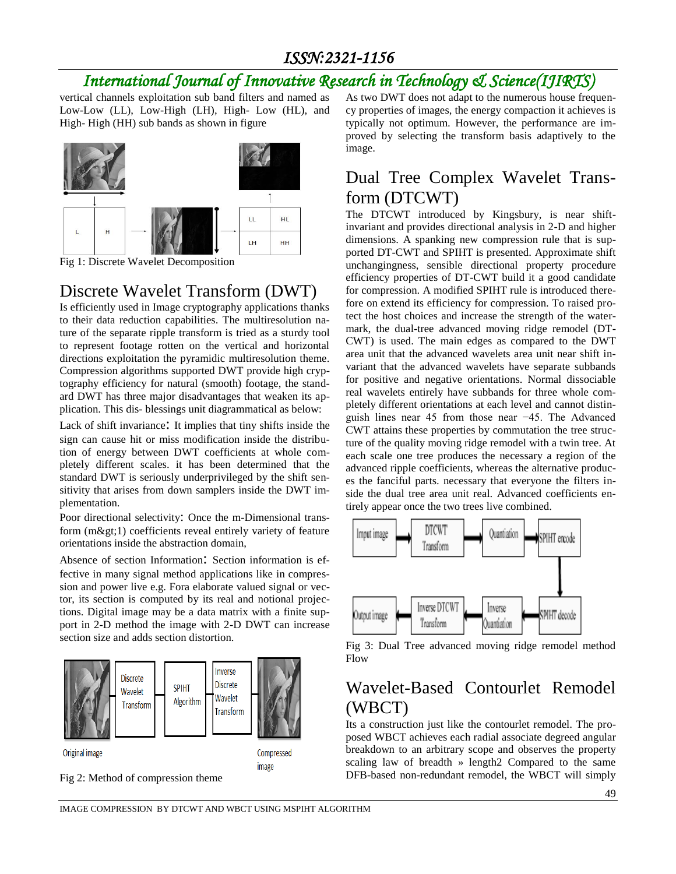# *International Journal of Innovative Research in Technology & Science(IJIRTS)*

vertical channels exploitation sub band filters and named as Low-Low (LL), Low-High (LH), High- Low (HL), and High- High (HH) sub bands as shown in figure



Fig 1: Discrete Wavelet Decomposition

## Discrete Wavelet Transform (DWT)

Is efficiently used in Image cryptography applications thanks to their data reduction capabilities. The multiresolution nature of the separate ripple transform is tried as a sturdy tool to represent footage rotten on the vertical and horizontal directions exploitation the pyramidic multiresolution theme. Compression algorithms supported DWT provide high cryptography efficiency for natural (smooth) footage, the standard DWT has three major disadvantages that weaken its application. This dis- blessings unit diagrammatical as below:

Lack of shift invariance: It implies that tiny shifts inside the sign can cause hit or miss modification inside the distribution of energy between DWT coefficients at whole completely different scales. it has been determined that the standard DWT is seriously underprivileged by the shift sensitivity that arises from down samplers inside the DWT implementation.

Poor directional selectivity: Once the m-Dimensional transform  $(m\>gt;1)$  coefficients reveal entirely variety of feature orientations inside the abstraction domain,

Absence of section Information: Section information is effective in many signal method applications like in compression and power live e.g. Fora elaborate valued signal or vector, its section is computed by its real and notional projections. Digital image may be a data matrix with a finite support in 2-D method the image with 2-D DWT can increase section size and adds section distortion.





As two DWT does not adapt to the numerous house frequency properties of images, the energy compaction it achieves is typically not optimum. However, the performance are improved by selecting the transform basis adaptively to the image.

## Dual Tree Complex Wavelet Transform (DTCWT)

The DTCWT introduced by Kingsbury, is near shiftinvariant and provides directional analysis in 2-D and higher dimensions. A spanking new compression rule that is supported DT-CWT and SPIHT is presented. Approximate shift unchangingness, sensible directional property procedure efficiency properties of DT-CWT build it a good candidate for compression. A modified SPIHT rule is introduced therefore on extend its efficiency for compression. To raised protect the host choices and increase the strength of the watermark, the dual-tree advanced moving ridge remodel (DT-CWT) is used. The main edges as compared to the DWT area unit that the advanced wavelets area unit near shift invariant that the advanced wavelets have separate subbands for positive and negative orientations. Normal dissociable real wavelets entirely have subbands for three whole completely different orientations at each level and cannot distinguish lines near 45 from those near −45. The Advanced CWT attains these properties by commutation the tree structure of the quality moving ridge remodel with a twin tree. At each scale one tree produces the necessary a region of the advanced ripple coefficients, whereas the alternative produces the fanciful parts. necessary that everyone the filters inside the dual tree area unit real. Advanced coefficients entirely appear once the two trees live combined.



Fig 3: Dual Tree advanced moving ridge remodel method Flow

## Wavelet-Based Contourlet Remodel (WBCT)

Its a construction just like the contourlet remodel. The proposed WBCT achieves each radial associate degreed angular breakdown to an arbitrary scope and observes the property scaling law of breadth » length2 Compared to the same DFB-based non-redundant remodel, the WBCT will simply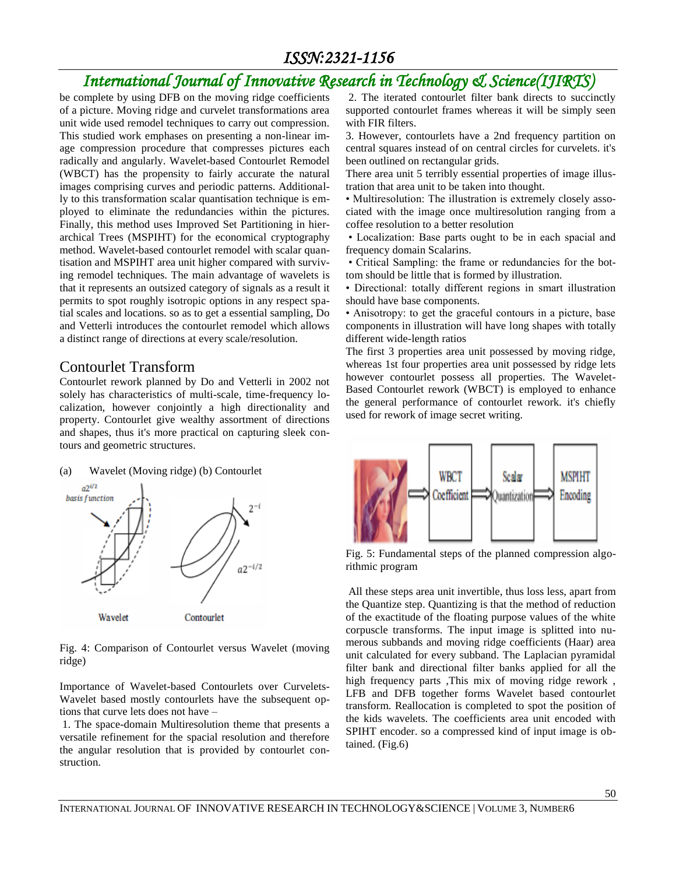# *International Journal of Innovative Research in Technology & Science(IJIRTS)*

be complete by using DFB on the moving ridge coefficients of a picture. Moving ridge and curvelet transformations area unit wide used remodel techniques to carry out compression. This studied work emphases on presenting a non-linear image compression procedure that compresses pictures each radically and angularly. Wavelet-based Contourlet Remodel (WBCT) has the propensity to fairly accurate the natural images comprising curves and periodic patterns. Additionally to this transformation scalar quantisation technique is employed to eliminate the redundancies within the pictures. Finally, this method uses Improved Set Partitioning in hierarchical Trees (MSPIHT) for the economical cryptography method. Wavelet-based contourlet remodel with scalar quantisation and MSPIHT area unit higher compared with surviving remodel techniques. The main advantage of wavelets is that it represents an outsized category of signals as a result it permits to spot roughly isotropic options in any respect spatial scales and locations. so as to get a essential sampling, Do and Vetterli introduces the contourlet remodel which allows a distinct range of directions at every scale/resolution.

### Contourlet Transform

Contourlet rework planned by Do and Vetterli in 2002 not solely has characteristics of multi-scale, time-frequency localization, however conjointly a high directionality and property. Contourlet give wealthy assortment of directions and shapes, thus it's more practical on capturing sleek contours and geometric structures.





Fig. 4: Comparison of Contourlet versus Wavelet (moving ridge)

Importance of Wavelet-based Contourlets over Curvelets-Wavelet based mostly contourlets have the subsequent options that curve lets does not have –

1. The space-domain Multiresolution theme that presents a versatile refinement for the spacial resolution and therefore the angular resolution that is provided by contourlet construction.

2. The iterated contourlet filter bank directs to succinctly supported contourlet frames whereas it will be simply seen with FIR filters.

3. However, contourlets have a 2nd frequency partition on central squares instead of on central circles for curvelets. it's been outlined on rectangular grids.

There area unit 5 terribly essential properties of image illustration that area unit to be taken into thought.

• Multiresolution: The illustration is extremely closely associated with the image once multiresolution ranging from a coffee resolution to a better resolution

• Localization: Base parts ought to be in each spacial and frequency domain Scalarins.

• Critical Sampling: the frame or redundancies for the bottom should be little that is formed by illustration.

• Directional: totally different regions in smart illustration should have base components.

• Anisotropy: to get the graceful contours in a picture, base components in illustration will have long shapes with totally different wide-length ratios

The first 3 properties area unit possessed by moving ridge, whereas 1st four properties area unit possessed by ridge lets however contourlet possess all properties. The Wavelet-Based Contourlet rework (WBCT) is employed to enhance the general performance of contourlet rework. it's chiefly used for rework of image secret writing.



Fig. 5: Fundamental steps of the planned compression algorithmic program

All these steps area unit invertible, thus loss less, apart from the Quantize step. Quantizing is that the method of reduction of the exactitude of the floating purpose values of the white corpuscle transforms. The input image is splitted into numerous subbands and moving ridge coefficients (Haar) area unit calculated for every subband. The Laplacian pyramidal filter bank and directional filter banks applied for all the high frequency parts ,This mix of moving ridge rework, LFB and DFB together forms Wavelet based contourlet transform. Reallocation is completed to spot the position of the kids wavelets. The coefficients area unit encoded with SPIHT encoder. so a compressed kind of input image is obtained. (Fig.6)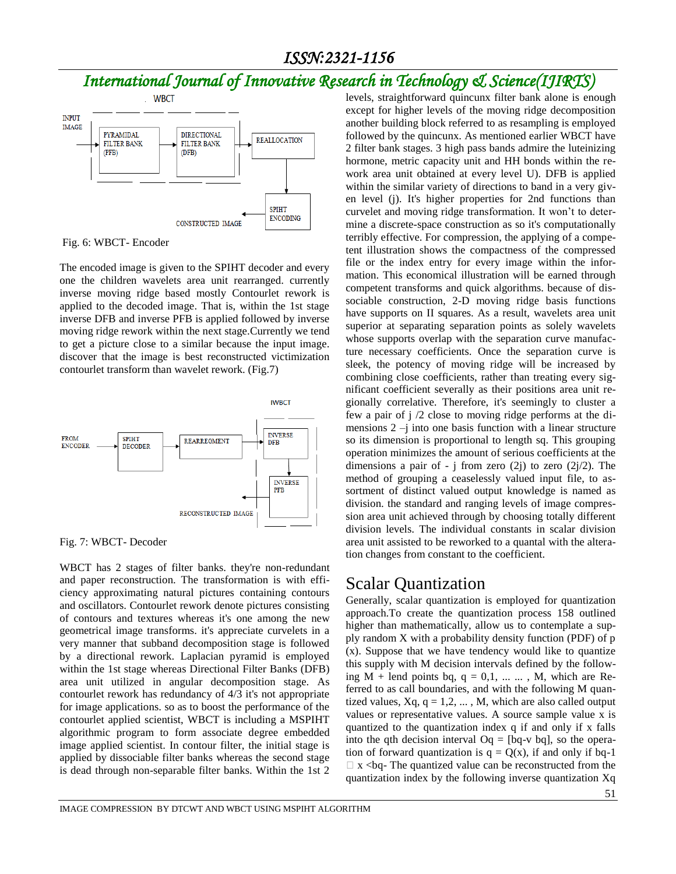# *International Journal of Innovative Research in Technology & Science(IJIRTS)*



Fig. 6: WBCT- Encoder

The encoded image is given to the SPIHT decoder and every one the children wavelets area unit rearranged. currently inverse moving ridge based mostly Contourlet rework is applied to the decoded image. That is, within the 1st stage inverse DFB and inverse PFB is applied followed by inverse moving ridge rework within the next stage.Currently we tend to get a picture close to a similar because the input image. discover that the image is best reconstructed victimization contourlet transform than wavelet rework. (Fig.7)



Fig. 7: WBCT- Decoder

WBCT has 2 stages of filter banks. they're non-redundant and paper reconstruction. The transformation is with efficiency approximating natural pictures containing contours and oscillators. Contourlet rework denote pictures consisting of contours and textures whereas it's one among the new geometrical image transforms. it's appreciate curvelets in a very manner that subband decomposition stage is followed by a directional rework. Laplacian pyramid is employed within the 1st stage whereas Directional Filter Banks (DFB) area unit utilized in angular decomposition stage. As contourlet rework has redundancy of 4/3 it's not appropriate for image applications. so as to boost the performance of the contourlet applied scientist, WBCT is including a MSPIHT algorithmic program to form associate degree embedded image applied scientist. In contour filter, the initial stage is applied by dissociable filter banks whereas the second stage is dead through non-separable filter banks. Within the 1st 2 levels, straightforward quincunx filter bank alone is enough except for higher levels of the moving ridge decomposition another building block referred to as resampling is employed followed by the quincunx. As mentioned earlier WBCT have 2 filter bank stages. 3 high pass bands admire the luteinizing hormone, metric capacity unit and HH bonds within the rework area unit obtained at every level U). DFB is applied within the similar variety of directions to band in a very given level (j). It's higher properties for 2nd functions than curvelet and moving ridge transformation. It won't to determine a discrete-space construction as so it's computationally terribly effective. For compression, the applying of a competent illustration shows the compactness of the compressed file or the index entry for every image within the information. This economical illustration will be earned through competent transforms and quick algorithms. because of dissociable construction, 2-D moving ridge basis functions have supports on II squares. As a result, wavelets area unit superior at separating separation points as solely wavelets whose supports overlap with the separation curve manufacture necessary coefficients. Once the separation curve is sleek, the potency of moving ridge will be increased by combining close coefficients, rather than treating every significant coefficient severally as their positions area unit regionally correlative. Therefore, it's seemingly to cluster a few a pair of j /2 close to moving ridge performs at the dimensions  $2 - i$  into one basis function with a linear structure so its dimension is proportional to length sq. This grouping operation minimizes the amount of serious coefficients at the dimensions a pair of - j from zero  $(2j)$  to zero  $(2j/2)$ . The method of grouping a ceaselessly valued input file, to assortment of distinct valued output knowledge is named as division. the standard and ranging levels of image compression area unit achieved through by choosing totally different division levels. The individual constants in scalar division area unit assisted to be reworked to a quantal with the alteration changes from constant to the coefficient.

### Scalar Quantization

Generally, scalar quantization is employed for quantization approach.To create the quantization process 158 outlined higher than mathematically, allow us to contemplate a supply random X with a probability density function (PDF) of p (x). Suppose that we have tendency would like to quantize this supply with M decision intervals defined by the following  $M$  + lend points bq, q = 0,1, ... ..., M, which are Referred to as call boundaries, and with the following M quantized values,  $Xq$ ,  $q = 1, 2, \dots, M$ , which are also called output values or representative values. A source sample value x is quantized to the quantization index q if and only if x falls into the qth decision interval  $Oq = [bq-v \text{ bq}]$ , so the operation of forward quantization is  $q = Q(x)$ , if and only if bq-1  $\Box$  x <br/> <br/>be quantized value can be reconstructed from the quantization index by the following inverse quantization Xq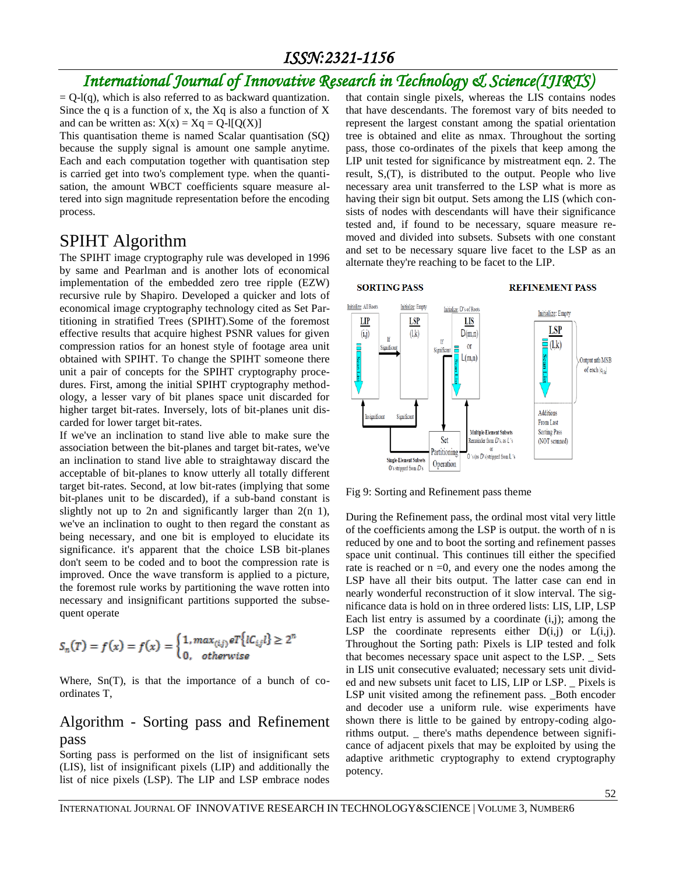# *International Journal of Innovative Research in Technology & Science(IJIRTS)*

 $= Q-I(q)$ , which is also referred to as backward quantization. Since the q is a function of x, the  $Xq$  is also a function of X and can be written as:  $X(x) = Xq = Q-1[Q(X)]$ 

This quantisation theme is named Scalar quantisation (SQ) because the supply signal is amount one sample anytime. Each and each computation together with quantisation step is carried get into two's complement type. when the quantisation, the amount WBCT coefficients square measure altered into sign magnitude representation before the encoding process.

### SPIHT Algorithm

The SPIHT image cryptography rule was developed in 1996 by same and Pearlman and is another lots of economical implementation of the embedded zero tree ripple (EZW) recursive rule by Shapiro. Developed a quicker and lots of economical image cryptography technology cited as Set Partitioning in stratified Trees (SPIHT).Some of the foremost effective results that acquire highest PSNR values for given compression ratios for an honest style of footage area unit obtained with SPIHT. To change the SPIHT someone there unit a pair of concepts for the SPIHT cryptography procedures. First, among the initial SPIHT cryptography methodology, a lesser vary of bit planes space unit discarded for higher target bit-rates. Inversely, lots of bit-planes unit discarded for lower target bit-rates.

If we've an inclination to stand live able to make sure the association between the bit-planes and target bit-rates, we've an inclination to stand live able to straightaway discard the acceptable of bit-planes to know utterly all totally different target bit-rates. Second, at low bit-rates (implying that some bit-planes unit to be discarded), if a sub-band constant is slightly not up to 2n and significantly larger than  $2(n 1)$ , we've an inclination to ought to then regard the constant as being necessary, and one bit is employed to elucidate its significance. it's apparent that the choice LSB bit-planes don't seem to be coded and to boot the compression rate is improved. Once the wave transform is applied to a picture, the foremost rule works by partitioning the wave rotten into necessary and insignificant partitions supported the subsequent operate

$$
S_n(T) = f(x) = f(x) = \begin{cases} 1, max_{(i,j)} \, e^T \{ lC_{i,j} l \} \ge 2^n \\ 0, \quad \text{otherwise} \end{cases}
$$

Where, Sn(T), is that the importance of a bunch of coordinates T,

### Algorithm - Sorting pass and Refinement pass

Sorting pass is performed on the list of insignificant sets (LIS), list of insignificant pixels (LIP) and additionally the list of nice pixels (LSP). The LIP and LSP embrace nodes that contain single pixels, whereas the LIS contains nodes that have descendants. The foremost vary of bits needed to represent the largest constant among the spatial orientation tree is obtained and elite as nmax. Throughout the sorting pass, those co-ordinates of the pixels that keep among the LIP unit tested for significance by mistreatment eqn. 2. The result, S,(T), is distributed to the output. People who live necessary area unit transferred to the LSP what is more as having their sign bit output. Sets among the LIS (which consists of nodes with descendants will have their significance tested and, if found to be necessary, square measure removed and divided into subsets. Subsets with one constant and set to be necessary square live facet to the LSP as an alternate they're reaching to be facet to the LIP.



#### **REFINEMENT PASS**



Fig 9: Sorting and Refinement pass theme

During the Refinement pass, the ordinal most vital very little of the coefficients among the LSP is output. the worth of n is reduced by one and to boot the sorting and refinement passes space unit continual. This continues till either the specified rate is reached or  $n = 0$ , and every one the nodes among the LSP have all their bits output. The latter case can end in nearly wonderful reconstruction of it slow interval. The significance data is hold on in three ordered lists: LIS, LIP, LSP Each list entry is assumed by a coordinate  $(i,j)$ ; among the LSP the coordinate represents either  $D(i,j)$  or  $L(i,j)$ . Throughout the Sorting path: Pixels is LIP tested and folk that becomes necessary space unit aspect to the LSP. \_ Sets in LIS unit consecutive evaluated; necessary sets unit divided and new subsets unit facet to LIS, LIP or LSP. \_ Pixels is LSP unit visited among the refinement pass. \_Both encoder and decoder use a uniform rule. wise experiments have shown there is little to be gained by entropy-coding algorithms output. \_ there's maths dependence between significance of adjacent pixels that may be exploited by using the adaptive arithmetic cryptography to extend cryptography potency.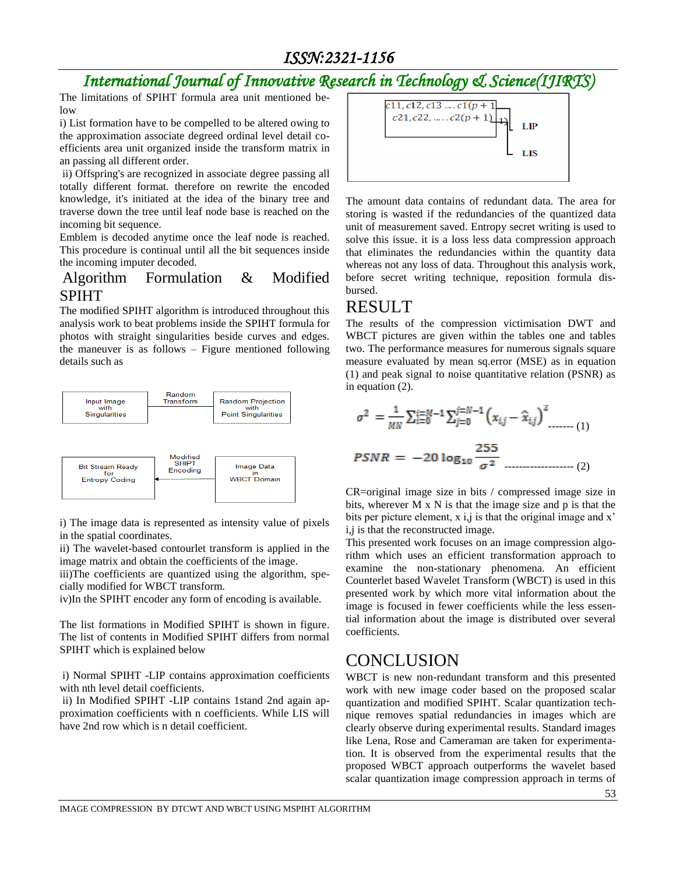# *International Journal of Innovative Research in Technology & Science(IJIRTS)*

The limitations of SPIHT formula area unit mentioned below

i) List formation have to be compelled to be altered owing to the approximation associate degreed ordinal level detail coefficients area unit organized inside the transform matrix in an passing all different order.

ii) Offspring's are recognized in associate degree passing all totally different format. therefore on rewrite the encoded knowledge, it's initiated at the idea of the binary tree and traverse down the tree until leaf node base is reached on the incoming bit sequence.

Emblem is decoded anytime once the leaf node is reached. This procedure is continual until all the bit sequences inside the incoming imputer decoded.

### Algorithm Formulation & Modified SPIHT

The modified SPIHT algorithm is introduced throughout this analysis work to beat problems inside the SPIHT formula for photos with straight singularities beside curves and edges. the maneuver is as follows – Figure mentioned following details such as



i) The image data is represented as intensity value of pixels in the spatial coordinates.

ii) The wavelet-based contourlet transform is applied in the image matrix and obtain the coefficients of the image.

iii)The coefficients are quantized using the algorithm, specially modified for WBCT transform.

iv)In the SPIHT encoder any form of encoding is available.

The list formations in Modified SPIHT is shown in figure. The list of contents in Modified SPIHT differs from normal SPIHT which is explained below

i) Normal SPIHT -LIP contains approximation coefficients with nth level detail coefficients.

ii) In Modified SPIHT -LIP contains 1stand 2nd again approximation coefficients with n coefficients. While LIS will have 2nd row which is n detail coefficient.



The amount data contains of redundant data. The area for storing is wasted if the redundancies of the quantized data unit of measurement saved. Entropy secret writing is used to solve this issue. it is a loss less data compression approach that eliminates the redundancies within the quantity data whereas not any loss of data. Throughout this analysis work, before secret writing technique, reposition formula disbursed.

### RESULT

The results of the compression victimisation DWT and WBCT pictures are given within the tables one and tables two. The performance measures for numerous signals square measure evaluated by mean sq.error (MSE) as in equation (1) and peak signal to noise quantitative relation (PSNR) as in equation (2).

$$
\sigma^{2} = \frac{1}{MN} \sum_{i=0}^{i=M-1} \sum_{j=0}^{j=N-1} (x_{i,j} - \hat{x}_{i,j})^{2} \dots (1)
$$
  
PSNR = -20 log<sub>10</sub>  $\frac{255}{\sigma^{2}}$ 

CR=original image size in bits / compressed image size in bits, wherever M x N is that the image size and p is that the bits per picture element, x i,j is that the original image and x' i,j is that the reconstructed image.

This presented work focuses on an image compression algorithm which uses an efficient transformation approach to examine the non-stationary phenomena. An efficient Counterlet based Wavelet Transform (WBCT) is used in this presented work by which more vital information about the image is focused in fewer coefficients while the less essential information about the image is distributed over several coefficients.

### **CONCLUSION**

WBCT is new non-redundant transform and this presented work with new image coder based on the proposed scalar quantization and modified SPIHT. Scalar quantization technique removes spatial redundancies in images which are clearly observe during experimental results. Standard images like Lena, Rose and Cameraman are taken for experimentation. It is observed from the experimental results that the proposed WBCT approach outperforms the wavelet based scalar quantization image compression approach in terms of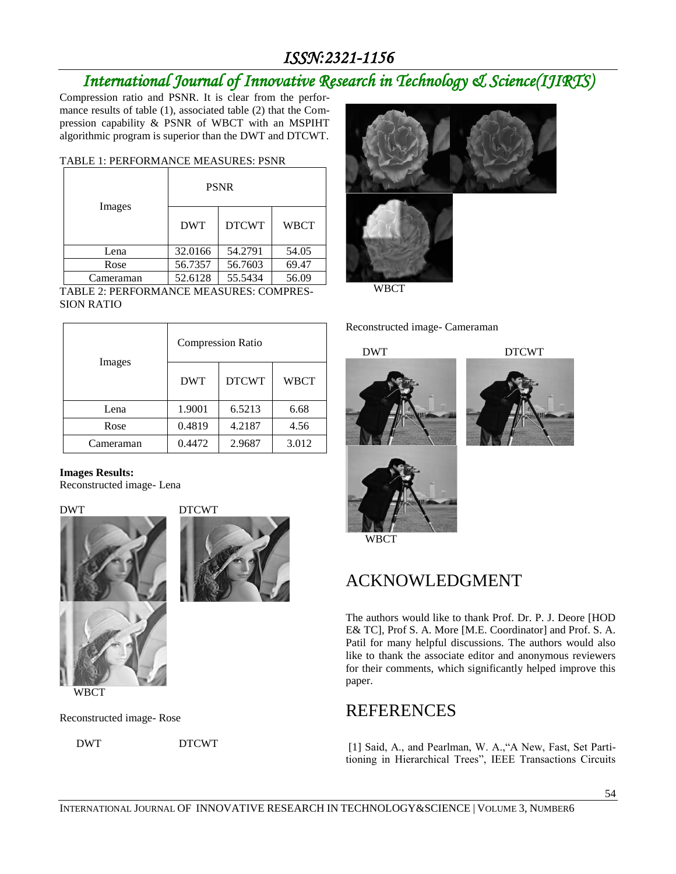# *International Journal of Innovative Research in Technology & Science(IJIRTS)*

Compression ratio and PSNR. It is clear from the performance results of table (1), associated table (2) that the Compression capability & PSNR of WBCT with an MSPIHT algorithmic program is superior than the DWT and DTCWT.

### TABLE 1: PERFORMANCE MEASURES: PSNR

| Images    | <b>PSNR</b> |              |             |
|-----------|-------------|--------------|-------------|
|           | <b>DWT</b>  | <b>DTCWT</b> | <b>WBCT</b> |
| Lena      | 32.0166     | 54.2791      | 54.05       |
| Rose      | 56.7357     | 56.7603      | 69.47       |
| Cameraman | 52.6128     | 55.5434      | 56.09       |

TABLE 2: PERFORMANCE MEASURES: COMPRES-SION RATIO

| Images    | <b>Compression Ratio</b> |              |             |
|-----------|--------------------------|--------------|-------------|
|           | <b>DWT</b>               | <b>DTCWT</b> | <b>WBCT</b> |
| Lena      | 1.9001                   | 6.5213       | 6.68        |
| Rose      | 0.4819                   | 4.2187       | 4.56        |
| Cameraman | 0.4472                   | 2.9687       | 3.012       |

### **Images Results:**

Reconstructed image- Lena



DWT DTCWT







WBCT

Reconstructed image- Rose

DWT DTCWT



WBCT

Reconstructed image- Cameraman









## ACKNOWLEDGMENT

The authors would like to thank Prof. Dr. P. J. Deore [HOD E& TC], Prof S. A. More [M.E. Coordinator] and Prof. S. A. Patil for many helpful discussions. The authors would also like to thank the associate editor and anonymous reviewers for their comments, which significantly helped improve this paper.

### **REFERENCES**

[1] Said, A., and Pearlman, W. A.,"A New, Fast, Set Partitioning in Hierarchical Trees", IEEE Transactions Circuits